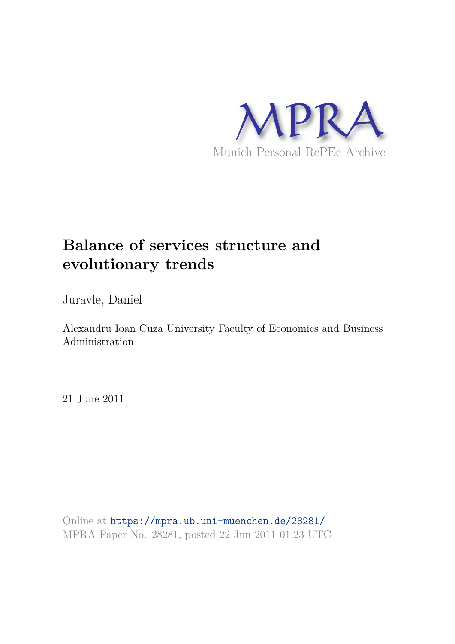

# **Balance of services structure and evolutionary trends**

Juravle, Daniel

Alexandru Ioan Cuza University Faculty of Economics and Business Administration

21 June 2011

Online at https://mpra.ub.uni-muenchen.de/28281/ MPRA Paper No. 28281, posted 22 Jun 2011 01:23 UTC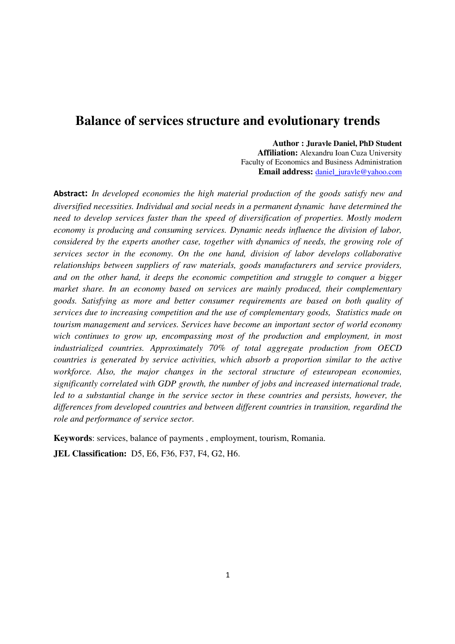## **Balance of services structure and evolutionary trends**

**Author : Juravle Daniel, PhD Student Affiliation:** Alexandru Ioan Cuza University Faculty of Economics and Business Administration **Email address:** daniel\_juravle@yahoo.com

Abstract: *In developed economies the high material production of the goods satisfy new and diversified necessities. Individual and social needs in a permanent dynamic have determined the need to develop services faster than the speed of diversification of properties. Mostly modern economy is producing and consuming services. Dynamic needs influence the division of labor, considered by the experts another case, together with dynamics of needs, the growing role of services sector in the economy. On the one hand, division of labor develops collaborative relationships between suppliers of raw materials, goods manufacturers and service providers, and on the other hand, it deeps the economic competition and struggle to conquer a bigger market share. In an economy based on services are mainly produced, their complementary goods. Satisfying as more and better consumer requirements are based on both quality of services due to increasing competition and the use of complementary goods, Statistics made on tourism management and services. Services have become an important sector of world economy*  wich continues to grow up, encompassing most of the production and employment, in most *industrialized countries. Approximately 70% of total aggregate production from OECD countries is generated by service activities, which absorb a proportion similar to the active workforce. Also, the major changes in the sectoral structure of esteuropean economies, significantly correlated with GDP growth, the number of jobs and increased international trade,*  led to a substantial change in the service sector in these countries and persists, however, the *differences from developed countries and between different countries in transition, regardind the role and performance of service sector.*

**Keywords**: services, balance of payments , employment, tourism, Romania.

**JEL Classification:** D5, E6, F36, F37, F4, G2, H6.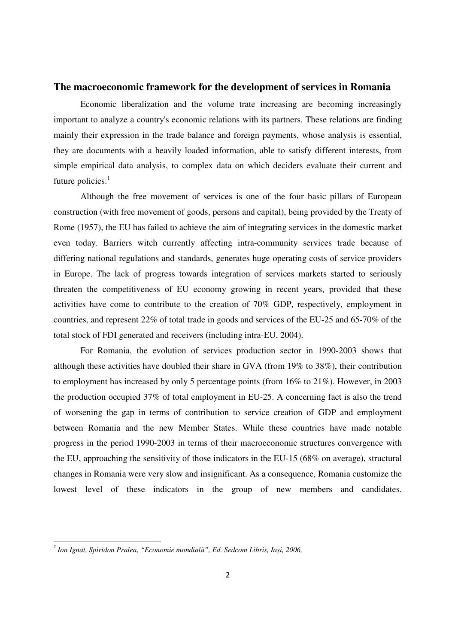#### **The macroeconomic framework for the development of services in Romania**

Economic liberalization and the volume trate increasing are becoming increasingly important to analyze a country's economic relations with its partners. These relations are finding mainly their expression in the trade balance and foreign payments, whose analysis is essential, they are documents with a heavily loaded information, able to satisfy different interests, from simple empirical data analysis, to complex data on which deciders evaluate their current and future policies. $<sup>1</sup>$ </sup>

Although the free movement of services is one of the four basic pillars of European construction (with free movement of goods, persons and capital), being provided by the Treaty of Rome (1957), the EU has failed to achieve the aim of integrating services in the domestic market even today. Barriers witch currently affecting intra-community services trade because of differing national regulations and standards, generates huge operating costs of service providers in Europe. The lack of progress towards integration of services markets started to seriously threaten the competitiveness of EU economy growing in recent years, provided that these activities have come to contribute to the creation of 70% GDP, respectively, employment in countries, and represent 22% of total trade in goods and services of the EU-25 and 65-70% of the total stock of FDI generated and receivers (including intra-EU, 2004).

For Romania, the evolution of services production sector in 1990-2003 shows that although these activities have doubled their share in GVA (from 19% to 38%), their contribution to employment has increased by only 5 percentage points (from 16% to 21%). However, in 2003 the production occupied 37% of total employment in EU-25. A concerning fact is also the trend of worsening the gap in terms of contribution to service creation of GDP and employment between Romania and the new Member States. While these countries have made notable progress in the period 1990-2003 in terms of their macroeconomic structures convergence with the EU, approaching the sensitivity of those indicators in the EU-15 (68% on average), structural changes in Romania were very slow and insignificant. As a consequence, Romania customize the lowest level of these indicators in the group of new members and candidates.

l,

<sup>1</sup> *Ion Ignat, Spiridon Pralea, "Economie mondial*ă*", Ed. Sedcom Libris, Ia*ș*i, 2006,*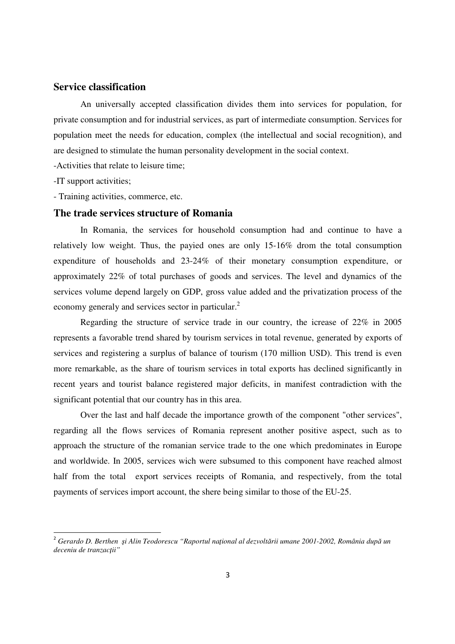## **Service classification**

An universally accepted classification divides them into services for population, for private consumption and for industrial services, as part of intermediate consumption. Services for population meet the needs for education, complex (the intellectual and social recognition), and are designed to stimulate the human personality development in the social context.

-Activities that relate to leisure time;

-IT support activities;

l,

- Training activities, commerce, etc.

## **The trade services structure of Romania**

In Romania, the services for household consumption had and continue to have a relatively low weight. Thus, the payied ones are only 15-16% drom the total consumption expenditure of households and 23-24% of their monetary consumption expenditure, or approximately 22% of total purchases of goods and services. The level and dynamics of the services volume depend largely on GDP, gross value added and the privatization process of the economy generaly and services sector in particular.<sup>2</sup>

Regarding the structure of service trade in our country, the icrease of 22% in 2005 represents a favorable trend shared by tourism services in total revenue, generated by exports of services and registering a surplus of balance of tourism (170 million USD). This trend is even more remarkable, as the share of tourism services in total exports has declined significantly in recent years and tourist balance registered major deficits, in manifest contradiction with the significant potential that our country has in this area.

Over the last and half decade the importance growth of the component "other services", regarding all the flows services of Romania represent another positive aspect, such as to approach the structure of the romanian service trade to the one which predominates in Europe and worldwide. In 2005, services wich were subsumed to this component have reached almost half from the total export services receipts of Romania, and respectively, from the total payments of services import account, the shere being similar to those of the EU-25.

<sup>2</sup>  *Gerardo D. Berthen* ş*i Alin Teodorescu "Raportul na*ţ*ional al dezvolt*ă*rii umane 2001-2002, România dup*ă *un deceniu de tranzac*ţ*ii"*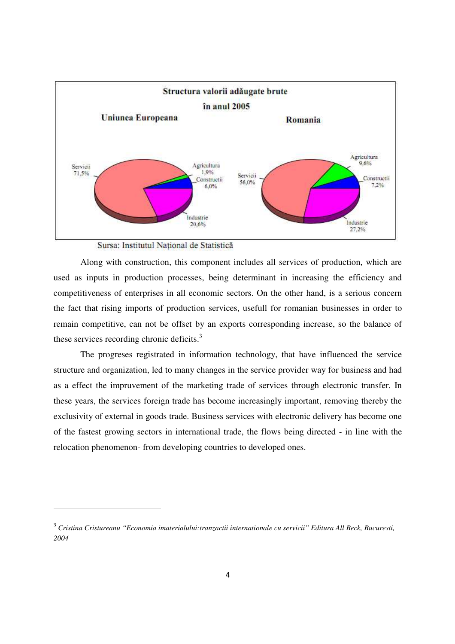

Sursa: Institutul Național de Statistică

 $\overline{a}$ 

Along with construction, this component includes all services of production, which are used as inputs in production processes, being determinant in increasing the efficiency and competitiveness of enterprises in all economic sectors. On the other hand, is a serious concern the fact that rising imports of production services, usefull for romanian businesses in order to remain competitive, can not be offset by an exports corresponding increase, so the balance of these services recording chronic deficits. $3$ 

The progreses registrated in information technology, that have influenced the service structure and organization, led to many changes in the service provider way for business and had as a effect the impruvement of the marketing trade of services through electronic transfer. In these years, the services foreign trade has become increasingly important, removing thereby the exclusivity of external in goods trade. Business services with electronic delivery has become one of the fastest growing sectors in international trade, the flows being directed - in line with the relocation phenomenon- from developing countries to developed ones.

<sup>3</sup> *Cristina Cristureanu "Economia imaterialului:tranzactii internationale cu servicii" Editura All Beck, Bucuresti, 2004*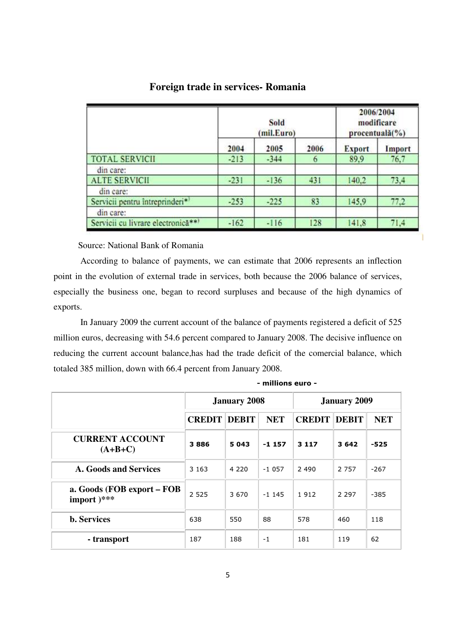|                                             | Sold<br>(mil.Euro) |        |      | 2006/2004<br>modificare<br>procentuală(%) |        |  |
|---------------------------------------------|--------------------|--------|------|-------------------------------------------|--------|--|
|                                             | 2004               | 2005   | 2006 | <b>Export</b>                             | Import |  |
| <b>TOTAL SERVICII</b>                       | $-213$             | $-344$ | 6    | 89,9                                      | 76,7   |  |
| din care:                                   |                    |        |      |                                           |        |  |
| <b>ALTE SERVICII</b>                        | $-231$             | $-136$ | 431  | 140,2                                     | 73,4   |  |
| din care:                                   |                    |        |      |                                           |        |  |
| Servicii pentru întreprinderi* <sup>1</sup> | $-253$             | $-225$ | 83   | 145,9                                     | 77,2   |  |
| din care:                                   |                    |        |      |                                           |        |  |
| Servicii cu livrare electronică**)          | $-162$             | $-116$ | 128  | 141.8                                     | 71.4   |  |

## **Foreign trade in services- Romania**

Source: National Bank of Romania

According to balance of payments, we can estimate that 2006 represents an inflection point in the evolution of external trade in services, both because the 2006 balance of services, especially the business one, began to record surpluses and because of the high dynamics of exports.

In January 2009 the current account of the balance of payments registered a deficit of 525 million euros, decreasing with 54.6 percent compared to January 2008. The decisive influence on reducing the current account balance,has had the trade deficit of the comercial balance, which totaled 385 million, down with 66.4 percent from January 2008.

|                                             |               | <b>January 2008</b> |            | <b>January 2009</b> |              |            |  |
|---------------------------------------------|---------------|---------------------|------------|---------------------|--------------|------------|--|
|                                             | <b>CREDIT</b> | <b>DEBIT</b>        | <b>NET</b> | <b>CREDIT</b>       | <b>DEBIT</b> | <b>NET</b> |  |
| <b>CURRENT ACCOUNT</b><br>$(A+B+C)$         | 3886          | 5043                | $-1157$    | 3 1 1 7             | 3642         | -525       |  |
| <b>A. Goods and Services</b>                | 3 1 6 3       | 4 2 2 0             | $-1057$    | 2 4 9 0             | 2 7 5 7      | $-267$     |  |
| a. Goods (FOB export – FOB<br>import $)***$ | 2 5 2 5       | 3670                | $-1$ 145   | 1912                | 2 2 9 7      | $-385$     |  |
| <b>b.</b> Services                          | 638           | 550                 | 88         | 578                 | 460          | 118        |  |
| - transport                                 | 187           | 188                 | $-1$       | 181                 | 119          | 62         |  |

- millions euro -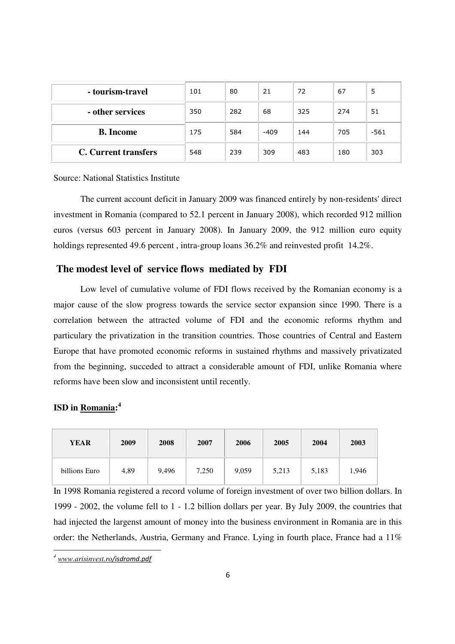| - tourism-travel            | 101 | 80  | 21     | 72  | 67  | 5      |
|-----------------------------|-----|-----|--------|-----|-----|--------|
| - other services            | 350 | 282 | 68     | 325 | 274 | 51     |
| <b>B.</b> Income            | 175 | 584 | $-409$ | 144 | 705 | $-561$ |
| <b>C.</b> Current transfers | 548 | 239 | 309    | 483 | 180 | 303    |

Source: National Statistics Institute

The current account deficit in January 2009 was financed entirely by non-residents' direct investment in Romania (compared to 52.1 percent in January 2008), which recorded 912 million euros (versus 603 percent in January 2008). In January 2009, the 912 million euro equity holdings represented 49.6 percent, intra-group loans  $36.2\%$  and reinvested profit 14.2%.

## **The modest level of service flows mediated by FDI**

Low level of cumulative volume of FDI flows received by the Romanian economy is a major cause of the slow progress towards the service sector expansion since 1990. There is a correlation between the attracted volume of FDI and the economic reforms rhythm and particulary the privatization in the transition countries. Those countries of Central and Eastern Europe that have promoted economic reforms in sustained rhythms and massively privatizated from the beginning, succeded to attract a considerable amount of FDI, unlike Romania where reforms have been slow and inconsistent until recently.

## **ISD in Romania: 4**

| <b>YEAR</b>   | 2009 | 2008  | 2007  | 2006  | 2005  | 2004  | 2003  |
|---------------|------|-------|-------|-------|-------|-------|-------|
| billions Euro | 4,89 | 9,496 | 7,250 | 9,059 | 5,213 | 5,183 | 1,946 |

In 1998 Romania registered a record volume of foreign investment of over two billion dollars. In 1999 - 2002, the volume fell to 1 - 1.2 billion dollars per year. By July 2009, the countries that had injected the largenst amount of money into the business environment in Romania are in this order: the Netherlands, Austria, Germany and France. Lying in fourth place, France had a 11%

 $\overline{a}$ 

*<sup>4</sup> www.arisinvest.ro*/isdromd.pdf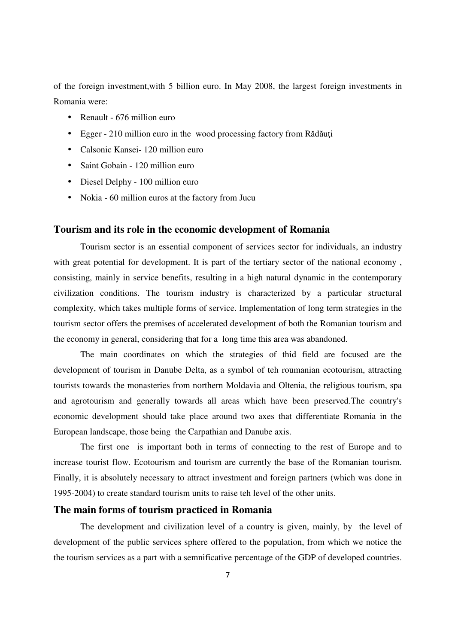of the foreign investment,with 5 billion euro. In May 2008, the largest foreign investments in Romania were:

- Renault 676 million euro
- Egger 210 million euro in the wood processing factory from Rădăuți
- Calsonic Kansei 120 million euro
- Saint Gobain 120 million euro
- Diesel Delphy 100 million euro
- Nokia 60 million euros at the factory from Jucu

## **Tourism and its role in the economic development of Romania**

Tourism sector is an essential component of services sector for individuals, an industry with great potential for development. It is part of the tertiary sector of the national economy, consisting, mainly in service benefits, resulting in a high natural dynamic in the contemporary civilization conditions. The tourism industry is characterized by a particular structural complexity, which takes multiple forms of service. Implementation of long term strategies in the tourism sector offers the premises of accelerated development of both the Romanian tourism and the economy in general, considering that for a long time this area was abandoned.

 The main coordinates on which the strategies of thid field are focused are the development of tourism in Danube Delta, as a symbol of teh roumanian ecotourism, attracting tourists towards the monasteries from northern Moldavia and Oltenia, the religious tourism, spa and agrotourism and generally towards all areas which have been preserved.The country's economic development should take place around two axes that differentiate Romania in the European landscape, those being the Carpathian and Danube axis.

The first one is important both in terms of connecting to the rest of Europe and to increase tourist flow. Ecotourism and tourism are currently the base of the Romanian tourism. Finally, it is absolutely necessary to attract investment and foreign partners (which was done in 1995-2004) to create standard tourism units to raise teh level of the other units.

## **The main forms of tourism practiced in Romania**

The development and civilization level of a country is given, mainly, by the level of development of the public services sphere offered to the population, from which we notice the the tourism services as a part with a semnificative percentage of the GDP of developed countries.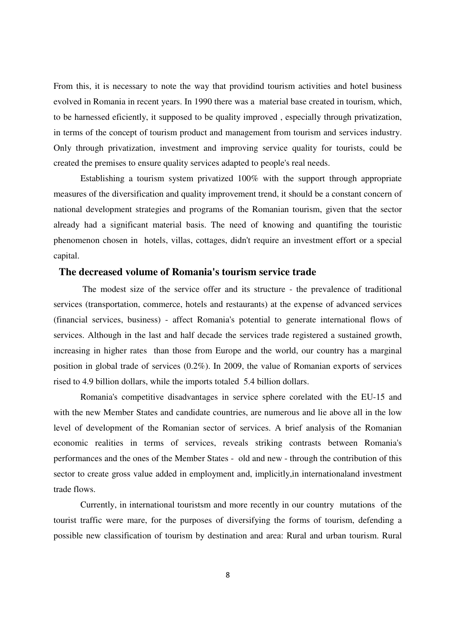From this, it is necessary to note the way that providind tourism activities and hotel business evolved in Romania in recent years. In 1990 there was a material base created in tourism, which, to be harnessed eficiently, it supposed to be quality improved , especially through privatization, in terms of the concept of tourism product and management from tourism and services industry. Only through privatization, investment and improving service quality for tourists, could be created the premises to ensure quality services adapted to people's real needs.

Establishing a tourism system privatized 100% with the support through appropriate measures of the diversification and quality improvement trend, it should be a constant concern of national development strategies and programs of the Romanian tourism, given that the sector already had a significant material basis. The need of knowing and quantifing the touristic phenomenon chosen in hotels, villas, cottages, didn't require an investment effort or a special capital.

## **The decreased volume of Romania's tourism service trade**

 The modest size of the service offer and its structure - the prevalence of traditional services (transportation, commerce, hotels and restaurants) at the expense of advanced services (financial services, business) - affect Romania's potential to generate international flows of services. Although in the last and half decade the services trade registered a sustained growth, increasing in higher rates than those from Europe and the world, our country has a marginal position in global trade of services (0.2%). In 2009, the value of Romanian exports of services rised to 4.9 billion dollars, while the imports totaled 5.4 billion dollars.

Romania's competitive disadvantages in service sphere corelated with the EU-15 and with the new Member States and candidate countries, are numerous and lie above all in the low level of development of the Romanian sector of services. A brief analysis of the Romanian economic realities in terms of services, reveals striking contrasts between Romania's performances and the ones of the Member States - old and new - through the contribution of this sector to create gross value added in employment and, implicitly,in internationaland investment trade flows.

Currently, in international touristsm and more recently in our country mutations of the tourist traffic were mare, for the purposes of diversifying the forms of tourism, defending a possible new classification of tourism by destination and area: Rural and urban tourism. Rural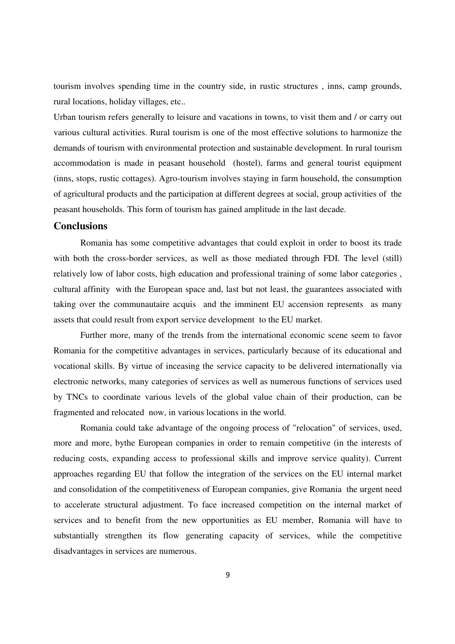tourism involves spending time in the country side, in rustic structures , inns, camp grounds, rural locations, holiday villages, etc..

Urban tourism refers generally to leisure and vacations in towns, to visit them and / or carry out various cultural activities. Rural tourism is one of the most effective solutions to harmonize the demands of tourism with environmental protection and sustainable development. In rural tourism accommodation is made in peasant household (hostel), farms and general tourist equipment (inns, stops, rustic cottages). Agro-tourism involves staying in farm household, the consumption of agricultural products and the participation at different degrees at social, group activities of the peasant households. This form of tourism has gained amplitude in the last decade.

## **Conclusions**

Romania has some competitive advantages that could exploit in order to boost its trade with both the cross-border services, as well as those mediated through FDI. The level (still) relatively low of labor costs, high education and professional training of some labor categories , cultural affinity with the European space and, last but not least, the guarantees associated with taking over the communautaire acquis and the imminent EU accension represents as many assets that could result from export service development to the EU market.

Further more, many of the trends from the international economic scene seem to favor Romania for the competitive advantages in services, particularly because of its educational and vocational skills. By virtue of inceasing the service capacity to be delivered internationally via electronic networks, many categories of services as well as numerous functions of services used by TNCs to coordinate various levels of the global value chain of their production, can be fragmented and relocated now, in various locations in the world.

Romania could take advantage of the ongoing process of "relocation" of services, used, more and more, bythe European companies in order to remain competitive (in the interests of reducing costs, expanding access to professional skills and improve service quality). Current approaches regarding EU that follow the integration of the services on the EU internal market and consolidation of the competitiveness of European companies, give Romania the urgent need to accelerate structural adjustment. To face increased competition on the internal market of services and to benefit from the new opportunities as EU member, Romania will have to substantially strengthen its flow generating capacity of services, while the competitive disadvantages in services are numerous.